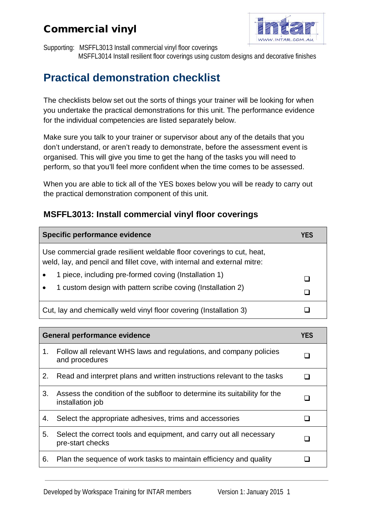

Supporting: MSFFL3013 Install commercial vinyl floor coverings

MSFFL3014 Install resilient floor coverings using custom designs and decorative finishes

# **Practical demonstration checklist**

The checklists below set out the sorts of things your trainer will be looking for when you undertake the practical demonstrations for this unit. The performance evidence for the individual competencies are listed separately below.

Make sure you talk to your trainer or supervisor about any of the details that you don't understand, or aren't ready to demonstrate, before the assessment event is organised. This will give you time to get the hang of the tasks you will need to perform, so that you'll feel more confident when the time comes to be assessed.

When you are able to tick all of the YES boxes below you will be ready to carry out the practical demonstration component of this unit.

#### **MSFFL3013: Install commercial vinyl floor coverings**

| Specific performance evidence                                                                                                                     | YES |
|---------------------------------------------------------------------------------------------------------------------------------------------------|-----|
| Use commercial grade resilient weldable floor coverings to cut, heat,<br>weld, lay, and pencil and fillet cove, with internal and external mitre: |     |
| 1 piece, including pre-formed coving (Installation 1)<br>1 custom design with pattern scribe coving (Installation 2)                              |     |
| Cut, lay and chemically weld vinyl floor covering (Installation 3)                                                                                |     |

| <b>General performance evidence</b> |                                                                                               | YES |
|-------------------------------------|-----------------------------------------------------------------------------------------------|-----|
| 1.                                  | Follow all relevant WHS laws and regulations, and company policies<br>and procedures          |     |
| 2.                                  | Read and interpret plans and written instructions relevant to the tasks                       |     |
| 3.                                  | Assess the condition of the subfloor to determine its suitability for the<br>installation job |     |
| 4.                                  | Select the appropriate adhesives, trims and accessories                                       |     |
| 5.                                  | Select the correct tools and equipment, and carry out all necessary<br>pre-start checks       |     |
| 6.                                  | Plan the sequence of work tasks to maintain efficiency and quality                            |     |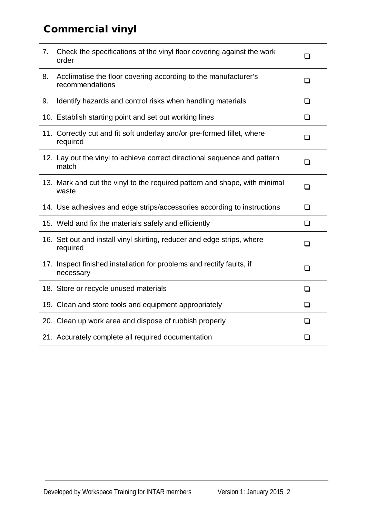| 7. | Check the specifications of the vinyl floor covering against the work<br>order      | $\Box$ |
|----|-------------------------------------------------------------------------------------|--------|
| 8. | Acclimatise the floor covering according to the manufacturer's<br>recommendations   | ❏      |
| 9. | Identify hazards and control risks when handling materials                          | ❏      |
|    | 10. Establish starting point and set out working lines                              | $\Box$ |
|    | 11. Correctly cut and fit soft underlay and/or pre-formed fillet, where<br>required | ❏      |
|    | 12. Lay out the vinyl to achieve correct directional sequence and pattern<br>match  | ❏      |
|    | 13. Mark and cut the vinyl to the required pattern and shape, with minimal<br>waste | ❏      |
|    | 14. Use adhesives and edge strips/accessories according to instructions             | $\Box$ |
|    | 15. Weld and fix the materials safely and efficiently                               | $\Box$ |
|    | 16. Set out and install vinyl skirting, reducer and edge strips, where<br>required  | ❏      |
|    | 17. Inspect finished installation for problems and rectify faults, if<br>necessary  | $\Box$ |
|    | 18. Store or recycle unused materials                                               | $\Box$ |
|    | 19. Clean and store tools and equipment appropriately                               | ❏      |
|    | 20. Clean up work area and dispose of rubbish properly                              | $\Box$ |
|    | 21. Accurately complete all required documentation                                  | ❏      |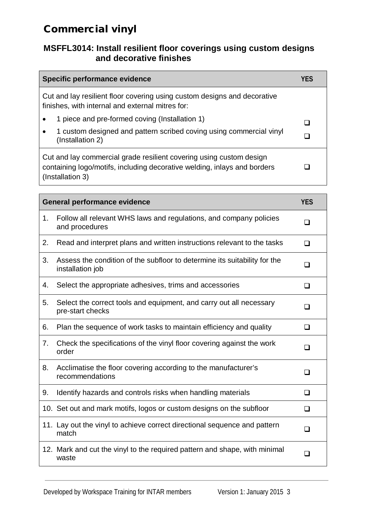#### **MSFFL3014: Install resilient floor coverings using custom designs and decorative finishes**

| Specific performance evidence                                                                                                                                       | YFS |
|---------------------------------------------------------------------------------------------------------------------------------------------------------------------|-----|
| Cut and lay resilient floor covering using custom designs and decorative<br>finishes, with internal and external mitres for:                                        |     |
| 1 piece and pre-formed coving (Installation 1)<br>$\bullet$                                                                                                         |     |
| 1 custom designed and pattern scribed coving using commercial vinyl<br>$\bullet$<br>(Installation 2)                                                                |     |
| Cut and lay commercial grade resilient covering using custom design<br>containing logo/motifs, including decorative welding, inlays and borders<br>(Installation 3) |     |

| <b>General performance evidence</b> |                                                                                               | <b>YES</b> |
|-------------------------------------|-----------------------------------------------------------------------------------------------|------------|
| 1 <sub>1</sub>                      | Follow all relevant WHS laws and regulations, and company policies<br>and procedures          | $\Box$     |
| 2.                                  | Read and interpret plans and written instructions relevant to the tasks                       | $\Box$     |
| 3.                                  | Assess the condition of the subfloor to determine its suitability for the<br>installation job | ┒          |
| 4.                                  | Select the appropriate adhesives, trims and accessories                                       | $\Box$     |
| 5.                                  | Select the correct tools and equipment, and carry out all necessary<br>pre-start checks       | $\Box$     |
| 6.                                  | Plan the sequence of work tasks to maintain efficiency and quality                            | ❏          |
| 7.                                  | Check the specifications of the vinyl floor covering against the work<br>order                | n          |
| 8.                                  | Acclimatise the floor covering according to the manufacturer's<br>recommendations             | l 1        |
| 9.                                  | Identify hazards and controls risks when handling materials                                   | $\Box$     |
|                                     | 10. Set out and mark motifs, logos or custom designs on the subfloor                          | ❏          |
|                                     | 11. Lay out the vinyl to achieve correct directional sequence and pattern<br>match            | $\Box$     |
|                                     | 12. Mark and cut the vinyl to the required pattern and shape, with minimal<br>waste           | $\Box$     |